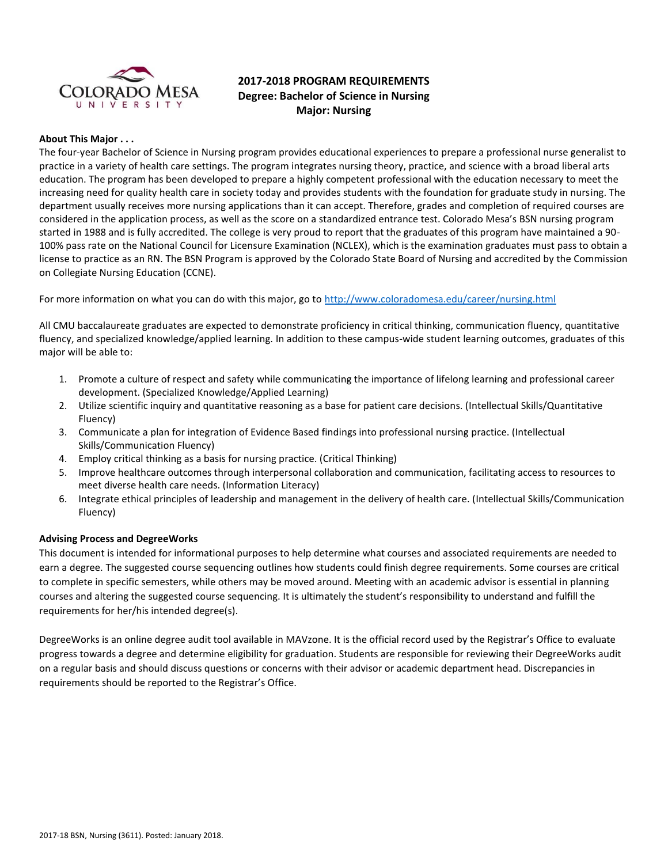

# **2017-2018 PROGRAM REQUIREMENTS Degree: Bachelor of Science in Nursing Major: Nursing**

# **About This Major . . .**

The four-year Bachelor of Science in Nursing program provides educational experiences to prepare a professional nurse generalist to practice in a variety of health care settings. The program integrates nursing theory, practice, and science with a broad liberal arts education. The program has been developed to prepare a highly competent professional with the education necessary to meet the increasing need for quality health care in society today and provides students with the foundation for graduate study in nursing. The department usually receives more nursing applications than it can accept. Therefore, grades and completion of required courses are considered in the application process, as well as the score on a standardized entrance test. Colorado Mesa's BSN nursing program started in 1988 and is fully accredited. The college is very proud to report that the graduates of this program have maintained a 90- 100% pass rate on the National Council for Licensure Examination (NCLEX), which is the examination graduates must pass to obtain a license to practice as an RN. The BSN Program is approved by the Colorado State Board of Nursing and accredited by the Commission on Collegiate Nursing Education (CCNE).

For more information on what you can do with this major, go to<http://www.coloradomesa.edu/career/nursing.html>

All CMU baccalaureate graduates are expected to demonstrate proficiency in critical thinking, communication fluency, quantitative fluency, and specialized knowledge/applied learning. In addition to these campus-wide student learning outcomes, graduates of this major will be able to:

- 1. Promote a culture of respect and safety while communicating the importance of lifelong learning and professional career development. (Specialized Knowledge/Applied Learning)
- 2. Utilize scientific inquiry and quantitative reasoning as a base for patient care decisions. (Intellectual Skills/Quantitative Fluency)
- 3. Communicate a plan for integration of Evidence Based findings into professional nursing practice. (Intellectual Skills/Communication Fluency)
- 4. Employ critical thinking as a basis for nursing practice. (Critical Thinking)
- 5. Improve healthcare outcomes through interpersonal collaboration and communication, facilitating access to resources to meet diverse health care needs. (Information Literacy)
- 6. Integrate ethical principles of leadership and management in the delivery of health care. (Intellectual Skills/Communication Fluency)

#### **Advising Process and DegreeWorks**

This document is intended for informational purposes to help determine what courses and associated requirements are needed to earn a degree. The suggested course sequencing outlines how students could finish degree requirements. Some courses are critical to complete in specific semesters, while others may be moved around. Meeting with an academic advisor is essential in planning courses and altering the suggested course sequencing. It is ultimately the student's responsibility to understand and fulfill the requirements for her/his intended degree(s).

DegreeWorks is an online degree audit tool available in MAVzone. It is the official record used by the Registrar's Office to evaluate progress towards a degree and determine eligibility for graduation. Students are responsible for reviewing their DegreeWorks audit on a regular basis and should discuss questions or concerns with their advisor or academic department head. Discrepancies in requirements should be reported to the Registrar's Office.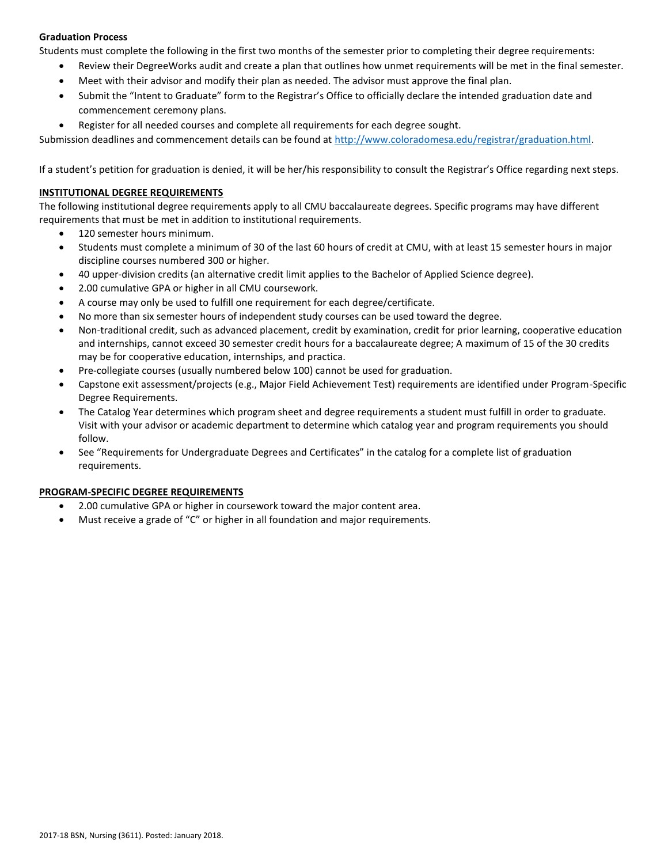# **Graduation Process**

Students must complete the following in the first two months of the semester prior to completing their degree requirements:

- Review their DegreeWorks audit and create a plan that outlines how unmet requirements will be met in the final semester.
- Meet with their advisor and modify their plan as needed. The advisor must approve the final plan.
- Submit the "Intent to Graduate" form to the Registrar's Office to officially declare the intended graduation date and commencement ceremony plans.
- Register for all needed courses and complete all requirements for each degree sought.

Submission deadlines and commencement details can be found at [http://www.coloradomesa.edu/registrar/graduation.html.](http://www.coloradomesa.edu/registrar/graduation.html)

If a student's petition for graduation is denied, it will be her/his responsibility to consult the Registrar's Office regarding next steps.

## **INSTITUTIONAL DEGREE REQUIREMENTS**

The following institutional degree requirements apply to all CMU baccalaureate degrees. Specific programs may have different requirements that must be met in addition to institutional requirements.

- 120 semester hours minimum.
- Students must complete a minimum of 30 of the last 60 hours of credit at CMU, with at least 15 semester hours in major discipline courses numbered 300 or higher.
- 40 upper-division credits (an alternative credit limit applies to the Bachelor of Applied Science degree).
- 2.00 cumulative GPA or higher in all CMU coursework.
- A course may only be used to fulfill one requirement for each degree/certificate.
- No more than six semester hours of independent study courses can be used toward the degree.
- Non-traditional credit, such as advanced placement, credit by examination, credit for prior learning, cooperative education and internships, cannot exceed 30 semester credit hours for a baccalaureate degree; A maximum of 15 of the 30 credits may be for cooperative education, internships, and practica.
- Pre-collegiate courses (usually numbered below 100) cannot be used for graduation.
- Capstone exit assessment/projects (e.g., Major Field Achievement Test) requirements are identified under Program-Specific Degree Requirements.
- The Catalog Year determines which program sheet and degree requirements a student must fulfill in order to graduate. Visit with your advisor or academic department to determine which catalog year and program requirements you should follow.
- See "Requirements for Undergraduate Degrees and Certificates" in the catalog for a complete list of graduation requirements.

#### **PROGRAM-SPECIFIC DEGREE REQUIREMENTS**

- 2.00 cumulative GPA or higher in coursework toward the major content area.
- Must receive a grade of "C" or higher in all foundation and major requirements.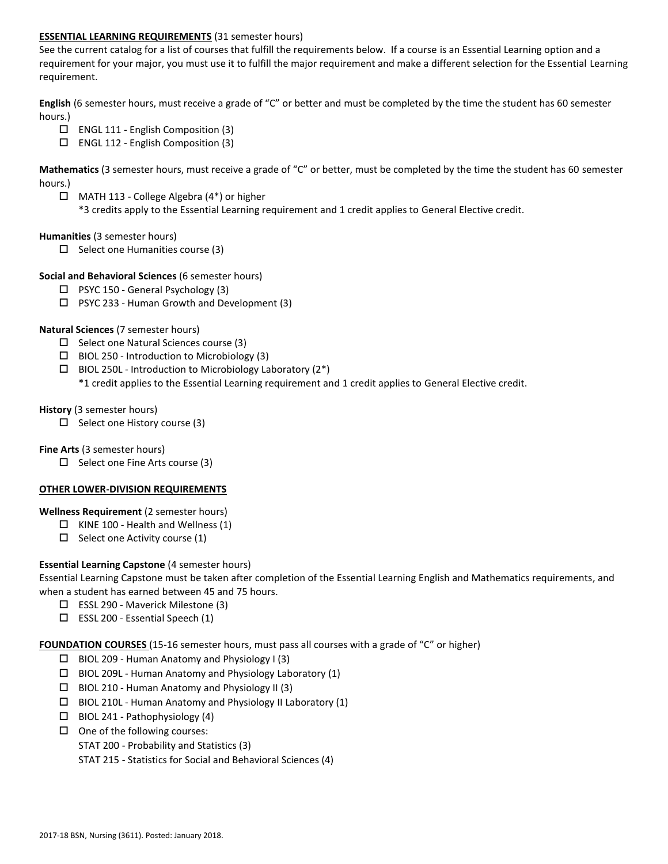# **ESSENTIAL LEARNING REQUIREMENTS** (31 semester hours)

See the current catalog for a list of courses that fulfill the requirements below. If a course is an Essential Learning option and a requirement for your major, you must use it to fulfill the major requirement and make a different selection for the Essential Learning requirement.

**English** (6 semester hours, must receive a grade of "C" or better and must be completed by the time the student has 60 semester hours.)

- $\Box$  ENGL 111 English Composition (3)
- $\Box$  ENGL 112 English Composition (3)

**Mathematics** (3 semester hours, must receive a grade of "C" or better, must be completed by the time the student has 60 semester hours.)

 MATH 113 - College Algebra (4\*) or higher \*3 credits apply to the Essential Learning requirement and 1 credit applies to General Elective credit.

#### **Humanities** (3 semester hours)

 $\Box$  Select one Humanities course (3)

### **Social and Behavioral Sciences** (6 semester hours)

- $\Box$  PSYC 150 General Psychology (3)
- PSYC 233 Human Growth and Development (3)

### **Natural Sciences** (7 semester hours)

- $\Box$  Select one Natural Sciences course (3)
- $\Box$  BIOL 250 Introduction to Microbiology (3)
- $\Box$  BIOL 250L Introduction to Microbiology Laboratory (2\*) \*1 credit applies to the Essential Learning requirement and 1 credit applies to General Elective credit.

#### **History** (3 semester hours)

 $\Box$  Select one History course (3)

# **Fine Arts** (3 semester hours)

 $\Box$  Select one Fine Arts course (3)

# **OTHER LOWER-DIVISION REQUIREMENTS**

#### **Wellness Requirement** (2 semester hours)

- $\Box$  KINE 100 Health and Wellness (1)
- $\Box$  Select one Activity course (1)

# **Essential Learning Capstone** (4 semester hours)

Essential Learning Capstone must be taken after completion of the Essential Learning English and Mathematics requirements, and when a student has earned between 45 and 75 hours.

- ESSL 290 Maverick Milestone (3)
- $\square$  ESSL 200 Essential Speech (1)

**FOUNDATION COURSES** (15-16 semester hours, must pass all courses with a grade of "C" or higher)

- $\Box$  BIOL 209 Human Anatomy and Physiology I (3)
- $\Box$  BIOL 209L Human Anatomy and Physiology Laboratory (1)
- $\Box$  BIOL 210 Human Anatomy and Physiology II (3)
- BIOL 210L Human Anatomy and Physiology II Laboratory (1)
- $\Box$  BIOL 241 Pathophysiology (4)
- $\Box$  One of the following courses:
	- STAT 200 Probability and Statistics (3)
	- STAT 215 Statistics for Social and Behavioral Sciences (4)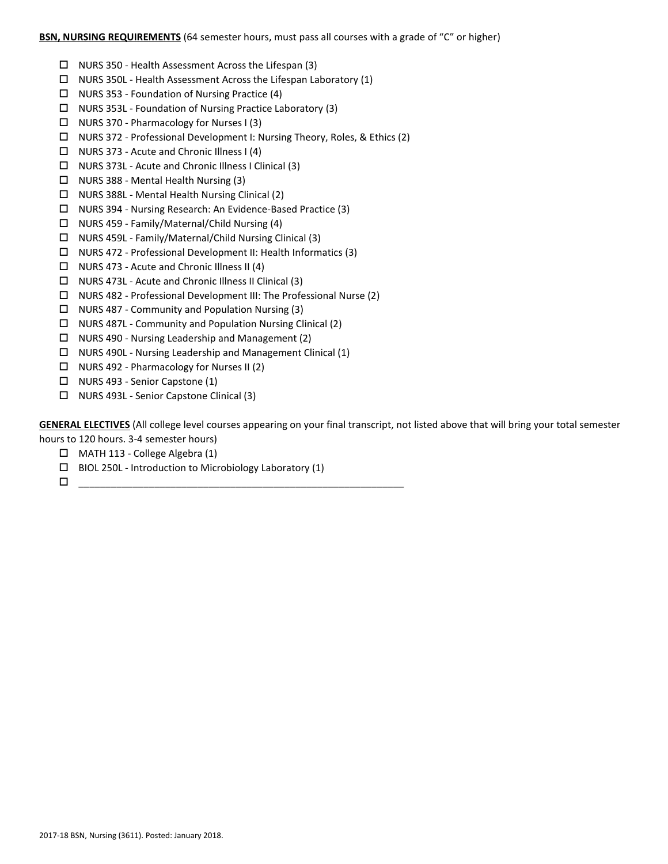### **BSN, NURSING REQUIREMENTS** (64 semester hours, must pass all courses with a grade of "C" or higher)

- $\Box$  NURS 350 Health Assessment Across the Lifespan (3)
- $\Box$  NURS 350L Health Assessment Across the Lifespan Laboratory (1)
- $\Box$  NURS 353 Foundation of Nursing Practice (4)
- NURS 353L Foundation of Nursing Practice Laboratory (3)
- $\Box$  NURS 370 Pharmacology for Nurses I (3)
- NURS 372 Professional Development I: Nursing Theory, Roles, & Ethics (2)
- $\Box$  NURS 373 Acute and Chronic Illness I (4)
- NURS 373L Acute and Chronic Illness I Clinical (3)
- $\Box$  NURS 388 Mental Health Nursing (3)
- $\Box$  NURS 388L Mental Health Nursing Clinical (2)
- NURS 394 Nursing Research: An Evidence-Based Practice (3)
- $\Box$  NURS 459 Family/Maternal/Child Nursing (4)
- NURS 459L Family/Maternal/Child Nursing Clinical (3)
- NURS 472 Professional Development II: Health Informatics (3)
- $\Box$  NURS 473 Acute and Chronic Illness II (4)
- NURS 473L Acute and Chronic Illness II Clinical (3)
- $\Box$  NURS 482 Professional Development III: The Professional Nurse (2)
- $\Box$  NURS 487 Community and Population Nursing (3)
- NURS 487L Community and Population Nursing Clinical (2)
- $\Box$  NURS 490 Nursing Leadership and Management (2)
- NURS 490L Nursing Leadership and Management Clinical (1)
- $\Box$  NURS 492 Pharmacology for Nurses II (2)
- $\Box$  NURS 493 Senior Capstone (1)
- □ NURS 493L Senior Capstone Clinical (3)

**GENERAL ELECTIVES** (All college level courses appearing on your final transcript, not listed above that will bring your total semester hours to 120 hours. 3-4 semester hours)

- MATH 113 College Algebra (1)
- $\Box$  BIOL 250L Introduction to Microbiology Laboratory (1)
- \_\_\_\_\_\_\_\_\_\_\_\_\_\_\_\_\_\_\_\_\_\_\_\_\_\_\_\_\_\_\_\_\_\_\_\_\_\_\_\_\_\_\_\_\_\_\_\_\_\_\_\_\_\_\_\_\_\_\_\_